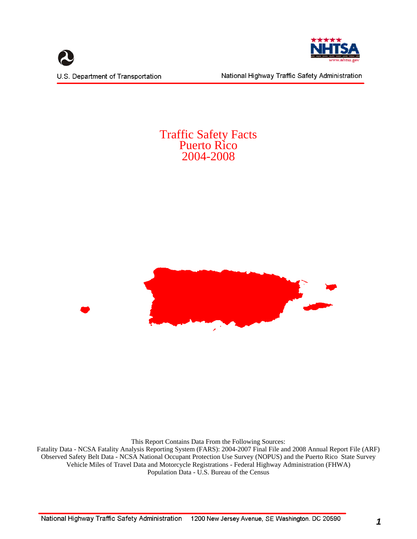



National Highway Traffic Safety Administration

## Traffic Safety Facts Puerto Rico 2004-2008



This Report Contains Data From the Following Sources:

Fatality Data - NCSA Fatality Analysis Reporting System (FARS): 2004-2007 Final File and 2008 Annual Report File (ARF) Observed Safety Belt Data - NCSA National Occupant Protection Use Survey (NOPUS) and the Puerto Rico State Survey Vehicle Miles of Travel Data and Motorcycle Registrations - Federal Highway Administration (FHWA) Population Data - U.S. Bureau of the Census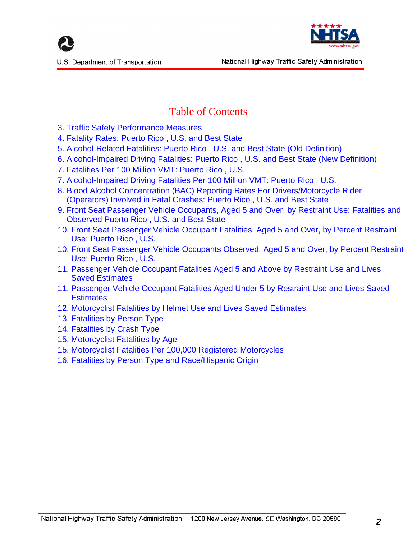



# Table of Contents

- <span id="page-1-0"></span>3. Traffic Safety Performance Measures
- 4. Fatality Rates: Puerto Rico , U.S. and Best State
- 5. Alcohol-Related Fatalities: Puerto Rico , U.S. and Best State (Old Definition)
- 6. Alcohol-Impaired Driving Fatalities: Puerto Rico , U.S. and Best State (New Definition)
- 7. Fatalities Per 100 Million VMT: Puerto Rico , U.S.
- 7. Alcohol-Impaired Driving Fatalities Per 100 Million VMT: Puerto Rico , U.S.
- 8. Blood Alcohol Concentration (BAC) Reporting Rates For Drivers/Motorcycle Rider (Operators) Involved in Fatal Crashes: Puerto Rico , U.S. and Best State
- 9. Front Seat Passenger Vehicle Occupants, Aged 5 and Over, by Restraint Use: Fatalities and Observed Puerto Rico , U.S. and Best State
- 10. Front Seat Passenger Vehicle Occupant Fatalities, Aged 5 and Over, by Percent Restraint Use: Puerto Rico , U.S.
- 10. Front Seat Passenger Vehicle Occupants Observed, Aged 5 and Over, by Percent Restraint Use: Puerto Rico , U.S.
- 11. Passenger Vehicle Occupant Fatalities Aged 5 and Above by Restraint Use and Lives Saved Estimates
- 11. Passenger Vehicle Occupant Fatalities Aged Under 5 by Restraint Use and Lives Saved **Estimates**
- 12. Motorcyclist Fatalities by Helmet Use and Lives Saved Estimates
- 13. Fatalities by Person Type
- 14. Fatalities by Crash Type
- 15. Motorcyclist Fatalities by Age
- 15. Motorcyclist Fatalities Per 100,000 Registered Motorcycles
- 16. Fatalities by Person Type and Race/Hispanic Origin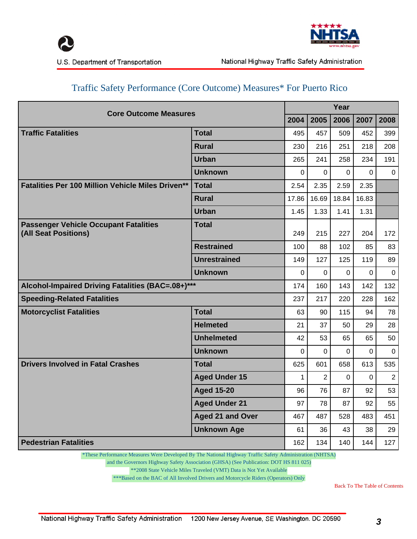



U.S. Department of Transportation

| <b>Core Outcome Measures</b>                                         |                                                                                            |          |                | Year        |          |                |
|----------------------------------------------------------------------|--------------------------------------------------------------------------------------------|----------|----------------|-------------|----------|----------------|
|                                                                      |                                                                                            | 2004     | 2005           | 2006        | 2007     | 2008           |
| <b>Traffic Fatalities</b>                                            | <b>Total</b>                                                                               | 495      | 457            | 509         | 452      | 399            |
|                                                                      | <b>Rural</b>                                                                               | 230      | 216            | 251         | 218      | 208            |
|                                                                      | <b>Urban</b>                                                                               | 265      | 241            | 258         | 234      | 191            |
|                                                                      | <b>Unknown</b>                                                                             | $\Omega$ | 0              | $\Omega$    | $\Omega$ | $\mathbf{0}$   |
| <b>Fatalities Per 100 Million Vehicle Miles Driven**</b>             | <b>Total</b>                                                                               | 2.54     | 2.35           | 2.59        | 2.35     |                |
|                                                                      | <b>Rural</b>                                                                               | 17.86    | 16.69          | 18.84       | 16.83    |                |
|                                                                      | <b>Urban</b><br><b>Total</b><br><b>Restrained</b><br><b>Unrestrained</b><br><b>Unknown</b> |          |                | 1.41        | 1.31     |                |
| <b>Passenger Vehicle Occupant Fatalities</b><br>(All Seat Positions) |                                                                                            | 249      | 215            | 227         | 204      | 172            |
|                                                                      |                                                                                            | 100      | 88             | 102         | 85       | 83             |
|                                                                      |                                                                                            | 149      | 127            | 125         | 119      | 89             |
|                                                                      |                                                                                            | 0        | $\mathbf 0$    | $\mathbf 0$ | $\Omega$ | $\mathbf 0$    |
| Alcohol-Impaired Driving Fatalities (BAC=.08+)***                    |                                                                                            | 174      | 160            | 143         | 142      | 132            |
| <b>Speeding-Related Fatalities</b>                                   |                                                                                            | 237      | 217            | 220         | 228      | 162            |
| <b>Motorcyclist Fatalities</b>                                       | <b>Total</b>                                                                               | 63       | 90             | 115         | 94       | 78             |
|                                                                      | <b>Helmeted</b>                                                                            | 21       | 37             | 50          | 29       | 28             |
|                                                                      | <b>Unhelmeted</b>                                                                          | 42       | 53             | 65          | 65       | 50             |
|                                                                      | <b>Unknown</b>                                                                             | 0        | $\mathbf 0$    | $\mathbf 0$ | 0        | 0              |
| <b>Drivers Involved in Fatal Crashes</b>                             | <b>Total</b>                                                                               | 625      | 601            | 658         | 613      | 535            |
|                                                                      | <b>Aged Under 15</b>                                                                       | 1        | $\overline{c}$ | $\Omega$    | $\Omega$ | $\overline{2}$ |
|                                                                      | <b>Aged 15-20</b>                                                                          | 96       | 76             | 87          | 92       | 53             |
|                                                                      | <b>Aged Under 21</b>                                                                       | 97       | 78             | 87          | 92       | 55             |
|                                                                      | <b>Aged 21 and Over</b>                                                                    | 467      | 487            | 528         | 483      | 451            |
|                                                                      | <b>Unknown Age</b>                                                                         | 61       | 36             | 43          | 38       | 29             |
| <b>Pedestrian Fatalities</b>                                         |                                                                                            | 162      | 134            | 140         | 144      | 127            |

## Traffic Safety Performance (Core Outcome) Measures\* For Puerto Rico

\*These Performance Measures Were Developed By The National Highway Traffic Safety Administration (NHTSA)

and the Governors Highway Safety Association (GHSA) (See Publication: DOT HS 811 025)

\*\*2008 State Vehicle Miles Traveled (VMT) Data is Not Yet Available

\*\*\*Based on the BAC of All Involved Drivers and Motorcycle Riders (Operators) Only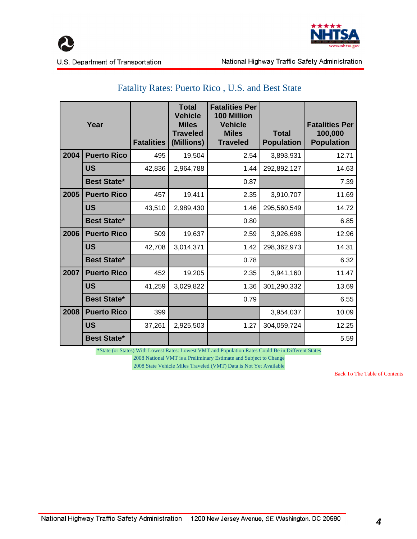



## Fatality Rates: Puerto Rico , U.S. and Best State

|      | Year               | <b>Fatalities</b> | <b>Total</b><br><b>Vehicle</b><br><b>Miles</b><br><b>Traveled</b><br>(Millions) | <b>Fatalities Per</b><br><b>100 Million</b><br><b>Vehicle</b><br><b>Miles</b><br><b>Traveled</b> | <b>Total</b><br><b>Population</b> | <b>Fatalities Per</b><br>100,000<br><b>Population</b> |
|------|--------------------|-------------------|---------------------------------------------------------------------------------|--------------------------------------------------------------------------------------------------|-----------------------------------|-------------------------------------------------------|
| 2004 | <b>Puerto Rico</b> | 495               | 19,504                                                                          | 2.54                                                                                             | 3,893,931                         | 12.71                                                 |
|      | <b>US</b>          | 42,836            | 2,964,788                                                                       | 1.44                                                                                             | 292,892,127                       | 14.63                                                 |
|      | <b>Best State*</b> |                   |                                                                                 | 0.87                                                                                             |                                   | 7.39                                                  |
| 2005 | <b>Puerto Rico</b> | 457               | 19,411                                                                          | 2.35                                                                                             | 3,910,707                         | 11.69                                                 |
|      | US                 | 43,510            | 2,989,430                                                                       | 1.46                                                                                             | 295,560,549                       | 14.72                                                 |
|      | <b>Best State*</b> |                   |                                                                                 | 0.80                                                                                             |                                   | 6.85                                                  |
| 2006 | <b>Puerto Rico</b> | 509               | 19,637                                                                          | 2.59                                                                                             | 3,926,698                         | 12.96                                                 |
|      | US                 | 42,708            | 3,014,371                                                                       | 1.42                                                                                             | 298,362,973                       | 14.31                                                 |
|      | <b>Best State*</b> |                   |                                                                                 | 0.78                                                                                             |                                   | 6.32                                                  |
| 2007 | <b>Puerto Rico</b> | 452               | 19,205                                                                          | 2.35                                                                                             | 3,941,160                         | 11.47                                                 |
|      | <b>US</b>          | 41,259            | 3,029,822                                                                       | 1.36                                                                                             | 301,290,332                       | 13.69                                                 |
|      | <b>Best State*</b> |                   |                                                                                 | 0.79                                                                                             |                                   | 6.55                                                  |
| 2008 | <b>Puerto Rico</b> | 399               |                                                                                 |                                                                                                  | 3,954,037                         | 10.09                                                 |
|      | US                 | 37,261            | 2,925,503                                                                       | 1.27                                                                                             | 304,059,724                       | 12.25                                                 |
|      | <b>Best State*</b> |                   |                                                                                 |                                                                                                  |                                   | 5.59                                                  |

\*State (or States) With Lowest Rates: Lowest VMT and Population Rates Could Be in Different States

2008 National VMT is a Preliminary Estimate and Subject to Change

2008 State Vehicle Miles Traveled (VMT) Data is Not Yet Available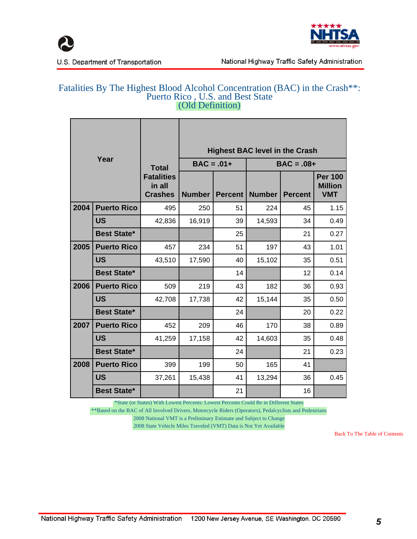



#### Fatalities By The Highest Blood Alcohol Concentration (BAC) in the Crash\*\*: Puerto Rico , U.S. and Best State (Old Definition)

|      |                    |                                               | <b>Highest BAC level in the Crash</b> |                |        |                |                                                |  |  |  |  |
|------|--------------------|-----------------------------------------------|---------------------------------------|----------------|--------|----------------|------------------------------------------------|--|--|--|--|
|      | Year               | <b>Total</b>                                  | $BAC = .01+$                          |                |        | $BAC = .08 +$  |                                                |  |  |  |  |
|      |                    | <b>Fatalities</b><br>in all<br><b>Crashes</b> | <b>Number</b>                         | <b>Percent</b> | Number | <b>Percent</b> | <b>Per 100</b><br><b>Million</b><br><b>VMT</b> |  |  |  |  |
| 2004 | <b>Puerto Rico</b> | 495                                           | 250                                   | 51             | 224    | 45             | 1.15                                           |  |  |  |  |
|      | <b>US</b>          | 42,836                                        | 16,919                                | 39             | 14,593 | 34             | 0.49                                           |  |  |  |  |
|      | <b>Best State*</b> |                                               |                                       | 25             |        | 21             | 0.27                                           |  |  |  |  |
| 2005 | <b>Puerto Rico</b> | 457                                           | 234                                   | 51             | 197    | 43             | 1.01                                           |  |  |  |  |
|      | <b>US</b>          | 43,510                                        | 17,590                                | 40             | 15,102 | 35             | 0.51                                           |  |  |  |  |
|      | <b>Best State*</b> |                                               |                                       | 14             |        | 12             | 0.14                                           |  |  |  |  |
| 2006 | <b>Puerto Rico</b> | 509                                           | 219                                   | 43             | 182    | 36             | 0.93                                           |  |  |  |  |
|      | <b>US</b>          | 42,708                                        | 17,738                                | 42             | 15,144 | 35             | 0.50                                           |  |  |  |  |
|      | <b>Best State*</b> |                                               |                                       | 24             |        | 20             | 0.22                                           |  |  |  |  |
| 2007 | <b>Puerto Rico</b> | 452                                           | 209                                   | 46             | 170    | 38             | 0.89                                           |  |  |  |  |
|      | <b>US</b>          | 41,259                                        | 17,158                                | 42             | 14,603 | 35             | 0.48                                           |  |  |  |  |
|      | <b>Best State*</b> |                                               |                                       | 24             |        | 21             | 0.23                                           |  |  |  |  |
| 2008 | <b>Puerto Rico</b> | 399                                           | 199                                   | 50             | 165    | 41             |                                                |  |  |  |  |
|      | <b>US</b>          | 37,261                                        | 15,438                                | 41             | 13,294 | 36             | 0.45                                           |  |  |  |  |
|      | <b>Best State*</b> |                                               |                                       | 21             |        | 16             |                                                |  |  |  |  |

\*State (or States) With Lowest Percents: Lowest Percents Could Be in Different States

\*\*Based on the BAC of All Involved Drivers, Motorcycle Riders (Operators), Pedalcyclists and Pedestrians

2008 National VMT is a Preliminary Estimate and Subject to Change

2008 State Vehicle Miles Traveled (VMT) Data is Not Yet Available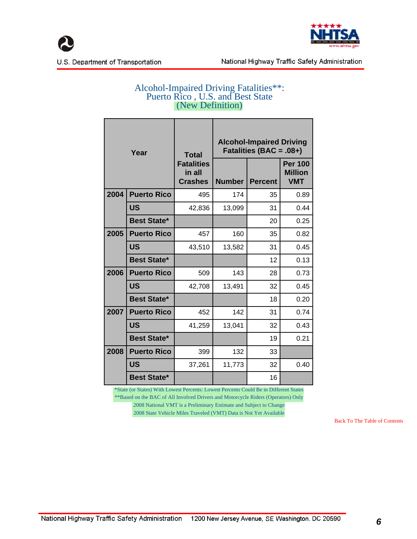



#### Alcohol-Impaired Driving Fatalities\*\*: Puerto Rico , U.S. and Best State (New Definition)

| Year |                    | <b>Total</b>                                  |               | <b>Alcohol-Impaired Driving</b><br>Fatalities (BAC = .08+) |                                                |  |  |  |  |
|------|--------------------|-----------------------------------------------|---------------|------------------------------------------------------------|------------------------------------------------|--|--|--|--|
|      |                    | <b>Fatalities</b><br>in all<br><b>Crashes</b> | <b>Number</b> | <b>Percent</b>                                             | <b>Per 100</b><br><b>Million</b><br><b>VMT</b> |  |  |  |  |
| 2004 | <b>Puerto Rico</b> | 495                                           | 174           | 35                                                         | 0.89                                           |  |  |  |  |
|      | <b>US</b>          | 42,836                                        | 13,099        | 31                                                         | 0.44                                           |  |  |  |  |
|      | <b>Best State*</b> |                                               |               | 20                                                         | 0.25                                           |  |  |  |  |
| 2005 | <b>Puerto Rico</b> | 457                                           | 160           | 35                                                         | 0.82                                           |  |  |  |  |
|      | <b>US</b>          | 43,510                                        | 13,582        | 31                                                         | 0.45                                           |  |  |  |  |
|      | <b>Best State*</b> |                                               |               | 12                                                         | 0.13                                           |  |  |  |  |
| 2006 | <b>Puerto Rico</b> | 509                                           | 143           | 28                                                         | 0.73                                           |  |  |  |  |
|      | <b>US</b>          | 42,708                                        | 13,491        | 32                                                         | 0.45                                           |  |  |  |  |
|      | <b>Best State*</b> |                                               |               | 18                                                         | 0.20                                           |  |  |  |  |
| 2007 | <b>Puerto Rico</b> | 452                                           | 142           | 31                                                         | 0.74                                           |  |  |  |  |
|      | <b>US</b>          | 41,259                                        | 13,041        | 32                                                         | 0.43                                           |  |  |  |  |
|      | <b>Best State*</b> |                                               |               | 19                                                         | 0.21                                           |  |  |  |  |
| 2008 | <b>Puerto Rico</b> | 399                                           | 132           | 33                                                         |                                                |  |  |  |  |
|      | <b>US</b>          | 37,261                                        | 11,773        | 32                                                         | 0.40                                           |  |  |  |  |
|      | <b>Best State*</b> |                                               |               | 16                                                         |                                                |  |  |  |  |

 \*State (or States) With Lowest Percents: Lowest Percents Could Be in Different States \*\*Based on the BAC of All Involved Drivers and Motorcycle Riders (Operators) Only 2008 National VMT is a Preliminary Estimate and Subject to Change 2008 State Vehicle Miles Traveled (VMT) Data is Not Yet Available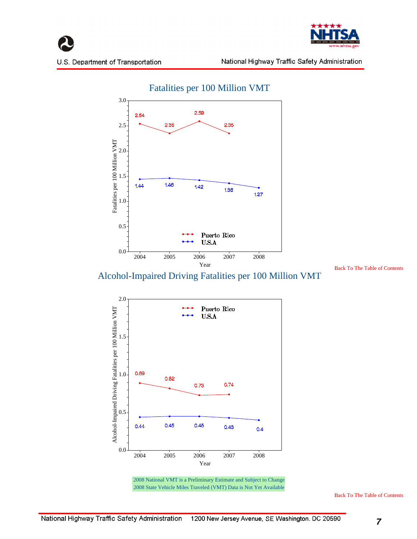





 [Back To The Table of Contents](#page-1-0)

Alcohol-Impaired Driving Fatalities per 100 Million VMT





 2008 National VMT is a Preliminary Estimate and Subject to Change 2008 State Vehicle Miles Traveled (VMT) Data is Not Yet Available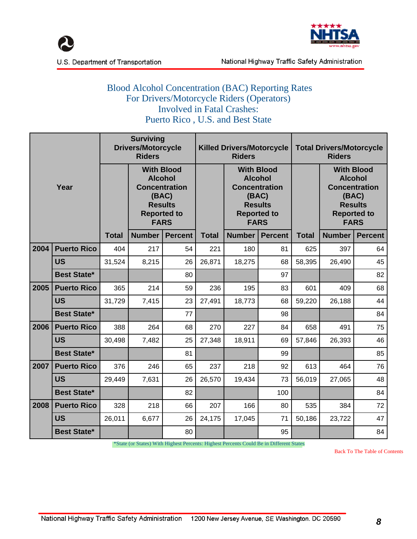



#### Blood Alcohol Concentration (BAC) Reporting Rates For Drivers/Motorcycle Riders (Operators) Involved in Fatal Crashes: Puerto Rico , U.S. and Best State

|      |                    | <b>Surviving</b><br><b>Drivers/Motorcycle</b><br><b>Riders</b> |                                                                                                                             |                |              | <b>Killed Drivers/Motorcycle</b><br><b>Riders</b>                                                                           |                | <b>Total Drivers/Motorcycle</b><br><b>Riders</b> |                                                                                                                             |                |  |
|------|--------------------|----------------------------------------------------------------|-----------------------------------------------------------------------------------------------------------------------------|----------------|--------------|-----------------------------------------------------------------------------------------------------------------------------|----------------|--------------------------------------------------|-----------------------------------------------------------------------------------------------------------------------------|----------------|--|
| Year |                    |                                                                | <b>With Blood</b><br><b>Alcohol</b><br><b>Concentration</b><br>(BAC)<br><b>Results</b><br><b>Reported to</b><br><b>FARS</b> |                |              | <b>With Blood</b><br><b>Alcohol</b><br><b>Concentration</b><br>(BAC)<br><b>Results</b><br><b>Reported to</b><br><b>FARS</b> |                |                                                  | <b>With Blood</b><br><b>Alcohol</b><br><b>Concentration</b><br>(BAC)<br><b>Results</b><br><b>Reported to</b><br><b>FARS</b> |                |  |
|      |                    | <b>Total</b>                                                   | Number                                                                                                                      | <b>Percent</b> | <b>Total</b> | Number                                                                                                                      | <b>Percent</b> | <b>Total</b>                                     | <b>Number</b>                                                                                                               | <b>Percent</b> |  |
| 2004 | <b>Puerto Rico</b> | 404                                                            | 217                                                                                                                         | 54             | 221          | 180                                                                                                                         | 81             | 625                                              | 397                                                                                                                         | 64             |  |
|      | <b>US</b>          | 31,524                                                         | 8,215                                                                                                                       | 26             | 26,871       | 18,275                                                                                                                      | 68             | 58,395                                           | 26,490                                                                                                                      | 45             |  |
|      | <b>Best State*</b> |                                                                |                                                                                                                             | 80             |              |                                                                                                                             | 97             |                                                  |                                                                                                                             | 82             |  |
| 2005 | <b>Puerto Rico</b> | 365                                                            | 214                                                                                                                         | 59             | 236          | 195                                                                                                                         | 83             | 601                                              | 409                                                                                                                         | 68             |  |
|      | <b>US</b>          | 31,729                                                         | 7,415                                                                                                                       | 23             | 27,491       | 18,773                                                                                                                      | 68             | 59,220                                           | 26,188                                                                                                                      | 44             |  |
|      | <b>Best State*</b> |                                                                |                                                                                                                             | 77             |              |                                                                                                                             | 98             |                                                  |                                                                                                                             | 84             |  |
| 2006 | <b>Puerto Rico</b> | 388                                                            | 264                                                                                                                         | 68             | 270          | 227                                                                                                                         | 84             | 658                                              | 491                                                                                                                         | 75             |  |
|      | <b>US</b>          | 30,498                                                         | 7,482                                                                                                                       | 25             | 27,348       | 18,911                                                                                                                      | 69             | 57,846                                           | 26,393                                                                                                                      | 46             |  |
|      | <b>Best State*</b> |                                                                |                                                                                                                             | 81             |              |                                                                                                                             | 99             |                                                  |                                                                                                                             | 85             |  |
| 2007 | <b>Puerto Rico</b> | 376                                                            | 246                                                                                                                         | 65             | 237          | 218                                                                                                                         | 92             | 613                                              | 464                                                                                                                         | 76             |  |
|      | <b>US</b>          | 29,449                                                         | 7,631                                                                                                                       | 26             | 26,570       | 19,434                                                                                                                      | 73             | 56,019                                           | 27,065                                                                                                                      | 48             |  |
|      | <b>Best State*</b> |                                                                |                                                                                                                             | 82             |              |                                                                                                                             | 100            |                                                  |                                                                                                                             | 84             |  |
| 2008 | <b>Puerto Rico</b> |                                                                | 218                                                                                                                         | 66             | 207          | 166                                                                                                                         | 80             | 535                                              | 384                                                                                                                         | 72             |  |
|      | <b>US</b>          | 26,011                                                         | 6,677                                                                                                                       | 26             | 24,175       | 17,045                                                                                                                      | 71             | 50,186                                           | 23,722                                                                                                                      | 47             |  |
|      | <b>Best State*</b> |                                                                |                                                                                                                             | 80             |              |                                                                                                                             | 95             |                                                  |                                                                                                                             | 84             |  |

\*State (or States) With Highest Percents: Highest Percents Could Be in Different States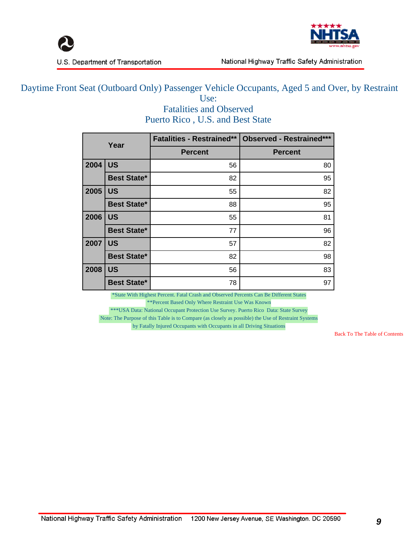



#### Daytime Front Seat (Outboard Only) Passenger Vehicle Occupants, Aged 5 and Over, by Restraint Use:

Fatalities and Observed Puerto Rico , U.S. and Best State

|      | Year               | <b>Fatalities - Restrained**</b> | <b>Observed - Restrained***</b> |
|------|--------------------|----------------------------------|---------------------------------|
|      |                    | <b>Percent</b>                   | <b>Percent</b>                  |
| 2004 | <b>US</b>          | 56                               | 80                              |
|      | <b>Best State*</b> | 82                               | 95                              |
| 2005 | <b>US</b>          | 55                               | 82                              |
|      | <b>Best State*</b> | 88                               | 95                              |
| 2006 | <b>US</b>          | 55                               | 81                              |
|      | <b>Best State*</b> | 77                               | 96                              |
| 2007 | <b>US</b>          | 57                               | 82                              |
|      | <b>Best State*</b> | 82                               | 98                              |
| 2008 | <b>US</b>          | 56                               | 83                              |
|      | <b>Best State*</b> | 78                               | 97                              |

\*State With Highest Percent. Fatal Crash and Observed Percents Can Be Different States

\*\*Percent Based Only Where Restraint Use Was Known

 \*\*\*USA Data: National Occupant Protection Use Survey. Puerto Rico Data: State Survey Note: The Purpose of this Table is to Compare (as closely as possible) the Use of Restraint Systems by Fatally Injured Occupants with Occupants in all Driving Situations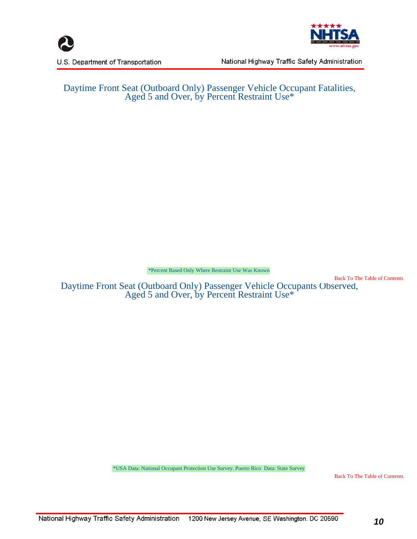





National Highway Traffic Safety Administration

#### Daytime Front Seat (Outboard Only) Passenger Vehicle Occupant Fatalities, Aged 5 and Over, by Percent Restraint Use\*

\*Percent Based Only Where Restraint Use Was Known

 [Back To The Table of Contents](#page-1-0)

 Daytime Front Seat (Outboard Only) Passenger Vehicle Occupants Observed, Aged 5 and Over, by Percent Restraint Use\*

\*USA Data: National Occupant Protection Use Survey. Puerto Rico Data: State Survey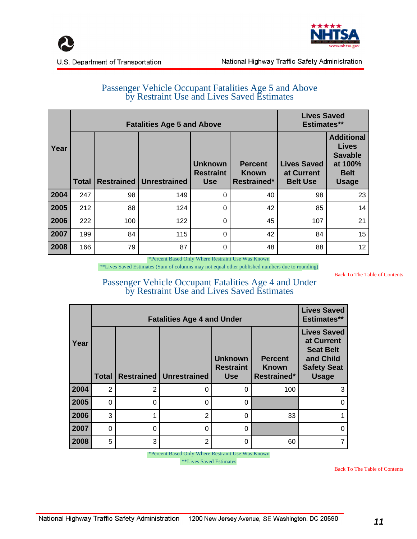



#### Passenger Vehicle Occupant Fatalities Age 5 and Above by Restraint Use and Lives Saved Estimates

|      |                                                  | <b>Fatalities Age 5 and Above</b> |     | <b>Lives Saved</b><br><b>Estimates**</b>         |                                                      |                                                     |                                                                                               |
|------|--------------------------------------------------|-----------------------------------|-----|--------------------------------------------------|------------------------------------------------------|-----------------------------------------------------|-----------------------------------------------------------------------------------------------|
| Year | <b>Restrained   Unrestrained</b><br><b>Total</b> |                                   |     | <b>Unknown</b><br><b>Restraint</b><br><b>Use</b> | <b>Percent</b><br><b>Known</b><br><b>Restrained*</b> | <b>Lives Saved</b><br>at Current<br><b>Belt Use</b> | <b>Additional</b><br><b>Lives</b><br><b>Savable</b><br>at 100%<br><b>Belt</b><br><b>Usage</b> |
| 2004 | 247                                              | 98                                | 149 | 0                                                | 40                                                   | 98                                                  | 23                                                                                            |
| 2005 | 212                                              | 88                                | 124 | 0                                                | 42                                                   | 85                                                  | 14                                                                                            |
| 2006 | 222                                              | 100                               | 122 | 0                                                | 45                                                   | 107                                                 | 21                                                                                            |
| 2007 | 199                                              | 84                                | 115 | $\Omega$                                         | 42                                                   | 84                                                  | 15                                                                                            |
| 2008 | 166                                              | 79                                | 87  | 0                                                | 48                                                   | 88                                                  | 12                                                                                            |

\*Percent Based Only Where Restraint Use Was Known

\*\*Lives Saved Estimates (Sum of columns may not equal other published numbers due to rounding)

 [Back To The Table of Contents](#page-1-0)

#### Passenger Vehicle Occupant Fatalities Age 4 and Under by Restraint Use and Lives Saved Estimates

|      |                            |                | <b>Fatalities Age 4 and Under</b> |                                                  |                                                      | <b>Lives Saved</b><br><b>Estimates**</b>                                                                |  |
|------|----------------------------|----------------|-----------------------------------|--------------------------------------------------|------------------------------------------------------|---------------------------------------------------------------------------------------------------------|--|
| Year | <b>Restrained</b><br>Total |                | Unrestrained                      | <b>Unknown</b><br><b>Restraint</b><br><b>Use</b> | <b>Percent</b><br><b>Known</b><br><b>Restrained*</b> | <b>Lives Saved</b><br>at Current<br><b>Seat Belt</b><br>and Child<br><b>Safety Seat</b><br><b>Usage</b> |  |
| 2004 | 2                          | $\overline{2}$ | $\Omega$                          | 0                                                | 100                                                  | 3                                                                                                       |  |
| 2005 | $\Omega$                   | $\Omega$       | $\Omega$                          | 0                                                |                                                      | 0                                                                                                       |  |
| 2006 | 3                          |                | $\overline{2}$                    | 0                                                | 33                                                   |                                                                                                         |  |
| 2007 | $\Omega$                   | 0              | 0                                 | 0                                                |                                                      | 0                                                                                                       |  |
| 2008 | 5                          | 3              | $\overline{2}$                    | 0                                                | 60                                                   | 7                                                                                                       |  |

\*Percent Based Only Where Restraint Use Was Known

\*\*Lives Saved Estimates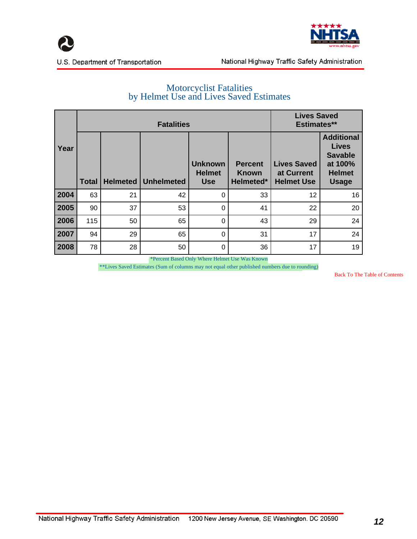



#### Motorcyclist Fatalities by Helmet Use and Lives Saved Estimates

|      |              |          |                   | <b>Lives Saved</b><br><b>Estimates**</b>      |                                             |                                                       |                                                                                                 |
|------|--------------|----------|-------------------|-----------------------------------------------|---------------------------------------------|-------------------------------------------------------|-------------------------------------------------------------------------------------------------|
| Year | <b>Total</b> | Helmeted | <b>Unhelmeted</b> | <b>Unknown</b><br><b>Helmet</b><br><b>Use</b> | <b>Percent</b><br><b>Known</b><br>Helmeted* | <b>Lives Saved</b><br>at Current<br><b>Helmet Use</b> | <b>Additional</b><br><b>Lives</b><br><b>Savable</b><br>at 100%<br><b>Helmet</b><br><b>Usage</b> |
| 2004 | 63           | 21       | 42                | $\Omega$                                      | 33                                          | 12                                                    | 16                                                                                              |
| 2005 | 90           | 37       | 53                | $\Omega$                                      | 41                                          | 22                                                    | 20                                                                                              |
| 2006 | 115          | 50       | 65                | $\Omega$                                      | 43                                          | 29                                                    | 24                                                                                              |
| 2007 | 94           | 29       | 65                | $\Omega$                                      | 31                                          | 17                                                    | 24                                                                                              |
| 2008 | 78           | 28       | 50                | 0                                             | 36                                          | 17                                                    | 19                                                                                              |

\*Percent Based Only Where Helmet Use Was Known

\*\*Lives Saved Estimates (Sum of columns may not equal other published numbers due to rounding)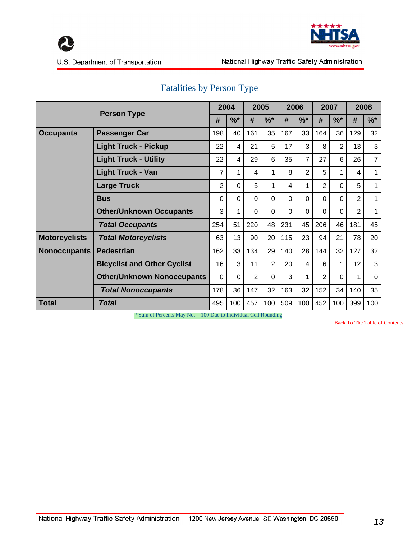



U.S. Department of Transportation

|                      |                                    |                | 2004           |                | 2005           |          | 2006           |                | 2007           | 2008           |                |
|----------------------|------------------------------------|----------------|----------------|----------------|----------------|----------|----------------|----------------|----------------|----------------|----------------|
|                      | <b>Person Type</b>                 | #              | $%^*$          | #              | $%^*$          | #        | $%^*$          | #              | $%^*$          | #              | $%^*$          |
| <b>Occupants</b>     | <b>Passenger Car</b>               | 198            | 40             | 161            | 35             | 167      | 33             | 164            | 36             | 129            | 32             |
|                      | <b>Light Truck - Pickup</b>        | 22             | 4              | 21             | 5              | 17       | 3              | 8              | $\overline{2}$ | 13             | 3              |
|                      | <b>Light Truck - Utility</b>       | 22             | 4              | 29             | 6              | 35       | $\overline{7}$ | 27             | 6              | 26             | $\overline{7}$ |
|                      | <b>Light Truck - Van</b>           | 7              | 1              | 4              | 1              | 8        | $\overline{2}$ | 5              | 1              | 4              | 1              |
|                      | <b>Large Truck</b>                 | $\overline{2}$ | $\Omega$       | 5              | 1              | 4        |                | $\overline{2}$ | $\Omega$       | 5              | $\mathbf{1}$   |
|                      | <b>Bus</b>                         | $\Omega$       | $\overline{0}$ | $\Omega$       | 0              | $\Omega$ | $\mathbf 0$    | $\Omega$       | $\mathbf 0$    | $\overline{2}$ | 1              |
|                      | <b>Other/Unknown Occupants</b>     | 3              | 1              | $\Omega$       | $\Omega$       | $\Omega$ | $\Omega$       | 0              | $\Omega$       | $\overline{2}$ | 1              |
|                      | <b>Total Occupants</b>             | 254            | 51             | 220            | 48             | 231      | 45             | 206            | 46             | 181            | 45             |
| <b>Motorcyclists</b> | <b>Total Motorcyclists</b>         | 63             | 13             | 90             | 20             | 115      | 23             | 94             | 21             | 78             | 20             |
| <b>Nonoccupants</b>  | <b>Pedestrian</b>                  | 162            | 33             | 134            | 29             | 140      | 28             | 144            | 32             | 127            | 32             |
|                      | <b>Bicyclist and Other Cyclist</b> | 16             | 3              | 11             | $\overline{2}$ | 20       | 4              | 6              | 1              | 12             | 3              |
|                      | <b>Other/Unknown Nonoccupants</b>  | $\Omega$       | $\Omega$       | $\overline{2}$ | $\Omega$       | 3        |                | $\overline{2}$ | $\Omega$       | 1              | $\Omega$       |
|                      | <b>Total Nonoccupants</b>          | 178            | 36             | 147            | 32             | 163      | 32             | 152            | 34             | 140            | 35             |
| Total                | Total                              | 495            | 100            | 457            | 100            | 509      | 100            | 452            | 100            | 399            | 100            |

## Fatalities by Person Type

\*Sum of Percents May Not = 100 Due to Individual Cell Rounding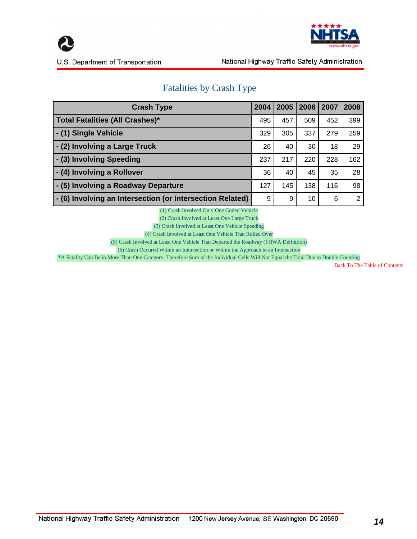



## Fatalities by Crash Type

| <b>Crash Type</b>                                         | 2004 | 2005 | 2006 | 2007 | 2008 |
|-----------------------------------------------------------|------|------|------|------|------|
| <b>Total Fatalities (All Crashes)*</b>                    | 495  | 457  | 509  | 452  | 399  |
| - (1) Single Vehicle                                      | 329  | 305  | 337  | 279  | 259  |
| - (2) Involving a Large Truck                             | 26   | 40   | 30   | 18   | 29   |
| - (3) Involving Speeding                                  | 237  | 217  | 220  | 228  | 162  |
| - (4) Involving a Rollover                                | 36   | 40   | 45   | 35   | 28   |
| - (5) Involving a Roadway Departure                       | 127  | 145  | 138  | 116  | 98   |
| - (6) Involving an Intersection (or Intersection Related) | 9    | 9    | 10   | 6    | 2    |

(1) Crash Involved Only One Coded Vehicle

(2) Crash Involved at Least One Large Truck

(3) Crash Involved at Least One Vehicle Speeding

(4) Crash Involved at Least One Vehicle That Rolled Over

(5) Crash Involved at Least One Vehicle That Departed the Roadway (FHWA Definition)

(6) Crash Occured Within an Intersection or Within the Approach to an Intersection

\*A Fatality Can Be in More Than One Category. Therefore Sum of the Individual Cells Will Not Equal the Total Due to Double Counting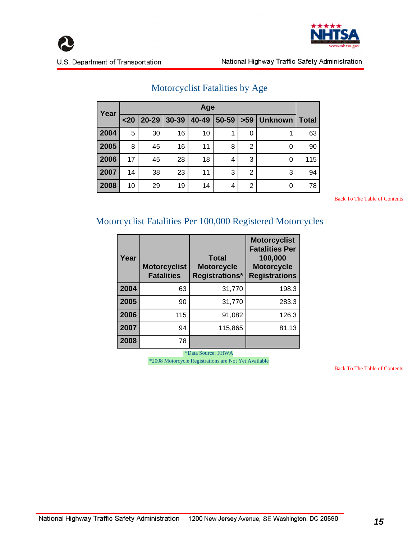



| Year |      | Age   |       |       |       |     |                |              |  |  |  |  |
|------|------|-------|-------|-------|-------|-----|----------------|--------------|--|--|--|--|
|      | $20$ | 20-29 | 30-39 | 40-49 | 50-59 | >59 | <b>Unknown</b> | <b>Total</b> |  |  |  |  |
| 2004 | 5    | 30    | 16    | 10    | 1     | 0   | 1              | 63           |  |  |  |  |
| 2005 | 8    | 45    | 16    | 11    | 8     | 2   | 0              | 90           |  |  |  |  |
| 2006 | 17   | 45    | 28    | 18    | 4     | 3   | 0              | 115          |  |  |  |  |
| 2007 | 14   | 38    | 23    | 11    | 3     | 2   | 3              | 94           |  |  |  |  |
| 2008 | 10   | 29    | 19    | 14    | 4     | 2   | 0              | 78           |  |  |  |  |

## Motorcyclist Fatalities by Age

 [Back To The Table of Contents](#page-1-0)

### Motorcyclist Fatalities Per 100,000 Registered Motorcycles

| Year | <b>Motorcyclist</b><br><b>Fatalities</b> | <b>Total</b><br><b>Motorcycle</b><br><b>Registrations*</b> | <b>Motorcyclist</b><br><b>Fatalities Per</b><br>100,000<br><b>Motorcycle</b><br><b>Registrations</b> |
|------|------------------------------------------|------------------------------------------------------------|------------------------------------------------------------------------------------------------------|
| 2004 | 63                                       | 31,770                                                     | 198.3                                                                                                |
| 2005 | 90                                       | 31,770                                                     | 283.3                                                                                                |
| 2006 | 115                                      | 91,082                                                     | 126.3                                                                                                |
| 2007 | 94                                       | 115,865                                                    | 81.13                                                                                                |
| 2008 | 78                                       |                                                            |                                                                                                      |

 \*Data Source: FHWA \*2008 Motorcycle Registrations are Not Yet Available